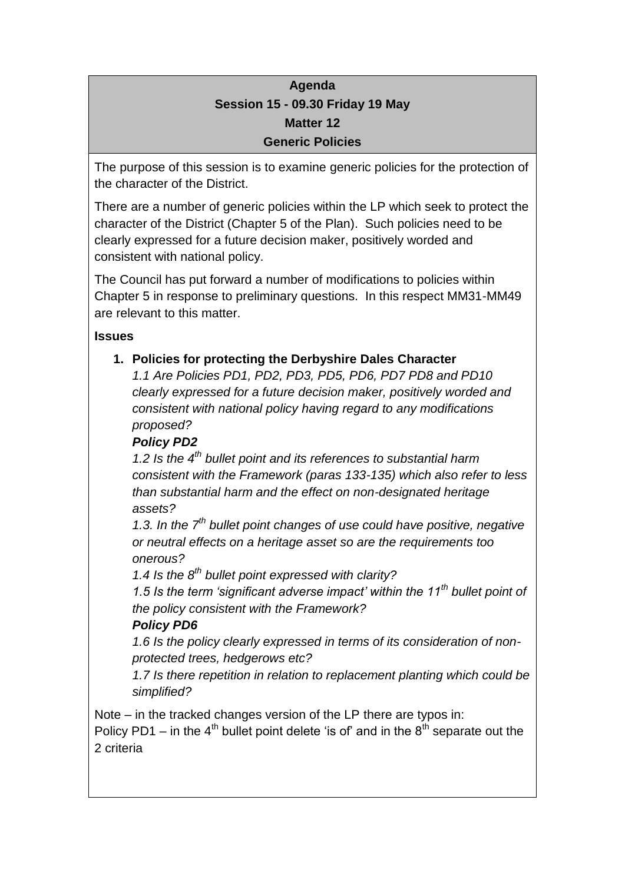## **Agenda Session 15 - 09.30 Friday 19 May Matter 12 Generic Policies**

The purpose of this session is to examine generic policies for the protection of the character of the District.

There are a number of generic policies within the LP which seek to protect the character of the District (Chapter 5 of the Plan). Such policies need to be clearly expressed for a future decision maker, positively worded and consistent with national policy.

The Council has put forward a number of modifications to policies within Chapter 5 in response to preliminary questions. In this respect MM31-MM49 are relevant to this matter.

#### **Issues**

#### **1. Policies for protecting the Derbyshire Dales Character**

*1.1 Are Policies PD1, PD2, PD3, PD5, PD6, PD7 PD8 and PD10 clearly expressed for a future decision maker, positively worded and consistent with national policy having regard to any modifications proposed?*

### *Policy PD2*

*1.2 Is the 4th bullet point and its references to substantial harm consistent with the Framework (paras 133-135) which also refer to less than substantial harm and the effect on non-designated heritage assets?*

*1.3. In the 7th bullet point changes of use could have positive, negative or neutral effects on a heritage asset so are the requirements too onerous?*

*1.4 Is the 8th bullet point expressed with clarity?*

*1.5 Is the term 'significant adverse impact' within the 11th bullet point of the policy consistent with the Framework?*

## *Policy PD6*

*1.6 Is the policy clearly expressed in terms of its consideration of nonprotected trees, hedgerows etc?*

*1.7 Is there repetition in relation to replacement planting which could be simplified?*

Note – in the tracked changes version of the LP there are typos in: Policy PD1 – in the  $4<sup>th</sup>$  bullet point delete 'is of' and in the  $8<sup>th</sup>$  separate out the 2 criteria